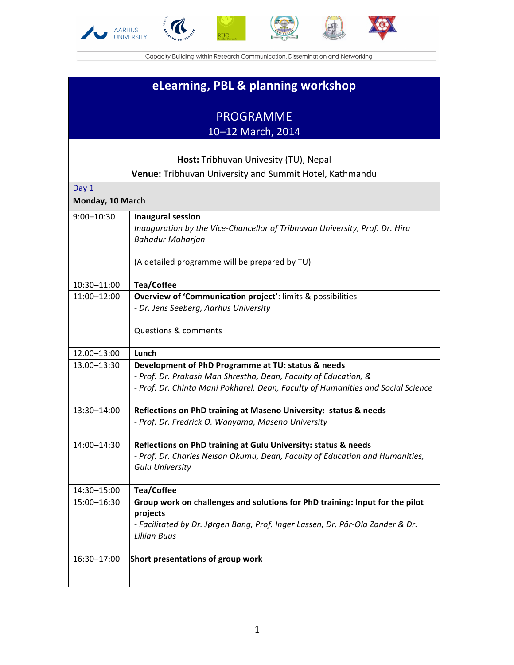







Capacity Building within Research Communication, Dissemination and Networking

## **eLearning, PBL & planning workshop**

## PROGRAMME

10-12 March, 2014

## **Host:** Tribhuvan Univesity (TU), Nepal **Venue:** Tribhuvan University and Summit Hotel, Kathmandu Day 1 **Monday, 10 March** 9:00-10:30 **| Inaugural session** *Inauguration by the Vice-Chancellor of Tribhuvan University, Prof. Dr. Hira Bahadur Maharjan* (A detailed programme will be prepared by TU) 10:30–11:00 **Tea/Coffee** 11:00–12:00 **Overview of 'Communication project'**: limits & possibilities *- Dr. Jens Seeberg, Aarhus University* Questions & comments 12.00–13:00 **Lunch** 13.00–13:30 **Development of PhD Programme at TU: status & needs** *- Prof. Dr. Prakash Man Shrestha, Dean, Faculty of Education, & - Prof. Dr. Chinta Mani Pokharel, Dean, Faculty of Humanities and Social Science* 13:30–14:00 **Reflections on PhD training at Maseno University: status & needs** *- Prof. Dr. Fredrick O. Wanyama, Maseno University* 14:00–14:30 **Reflections on PhD training at Gulu University: status & needs** *- Prof. Dr. Charles Nelson Okumu, Dean, Faculty of Education and Humanities, Gulu University* 14:30–15:00 **Tea/Coffee** 15:00–16:30 **Group work on challenges and solutions for PhD training: Input for the pilot projects** *- Facilitated by Dr. Jørgen Bang, Prof. Inger Lassen, Dr. Pär-Ola Zander & Dr. Lillian Buus* 16:30-17:00 **Short presentations of group work**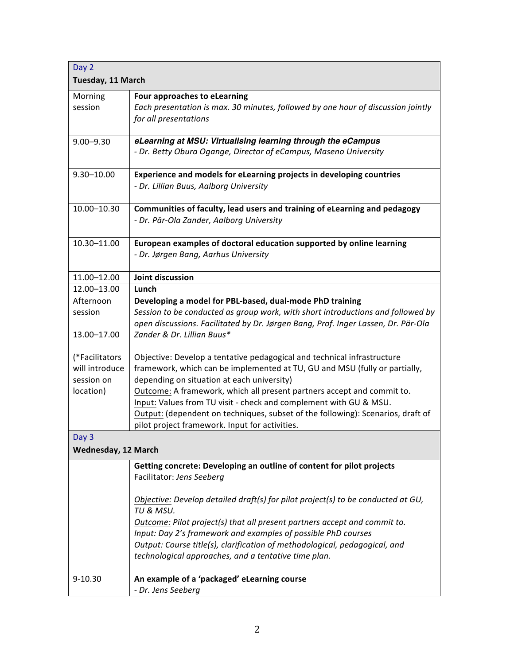| Day 2                      |                                                                                                                                                                                                    |
|----------------------------|----------------------------------------------------------------------------------------------------------------------------------------------------------------------------------------------------|
| Tuesday, 11 March          |                                                                                                                                                                                                    |
| Morning<br>session         | Four approaches to eLearning<br>Each presentation is max. 30 minutes, followed by one hour of discussion jointly<br>for all presentations                                                          |
| $9.00 - 9.30$              | eLearning at MSU: Virtualising learning through the eCampus                                                                                                                                        |
|                            | - Dr. Betty Obura Ogange, Director of eCampus, Maseno University                                                                                                                                   |
| $9.30 - 10.00$             | Experience and models for eLearning projects in developing countries<br>- Dr. Lillian Buus, Aalborg University                                                                                     |
| 10.00-10.30                | Communities of faculty, lead users and training of eLearning and pedagogy<br>- Dr. Pär-Ola Zander, Aalborg University                                                                              |
| 10.30-11.00                | European examples of doctoral education supported by online learning<br>- Dr. Jørgen Bang, Aarhus University                                                                                       |
| 11.00-12.00                | Joint discussion                                                                                                                                                                                   |
| 12.00-13.00                | Lunch                                                                                                                                                                                              |
| Afternoon                  | Developing a model for PBL-based, dual-mode PhD training                                                                                                                                           |
| session                    | Session to be conducted as group work, with short introductions and followed by<br>open discussions. Facilitated by Dr. Jørgen Bang, Prof. Inger Lassen, Dr. Pär-Ola<br>Zander & Dr. Lillian Buus* |
| 13.00-17.00                |                                                                                                                                                                                                    |
| (*Facilitators             | Objective: Develop a tentative pedagogical and technical infrastructure                                                                                                                            |
| will introduce             | framework, which can be implemented at TU, GU and MSU (fully or partially,                                                                                                                         |
| session on                 | depending on situation at each university)                                                                                                                                                         |
| location)                  | Outcome: A framework, which all present partners accept and commit to.<br>Input: Values from TU visit - check and complement with GU & MSU.                                                        |
|                            | Output: (dependent on techniques, subset of the following): Scenarios, draft of                                                                                                                    |
|                            | pilot project framework. Input for activities.                                                                                                                                                     |
| Day 3                      |                                                                                                                                                                                                    |
| <b>Wednesday, 12 March</b> |                                                                                                                                                                                                    |
|                            | Getting concrete: Developing an outline of content for pilot projects<br>Facilitator: Jens Seeberg                                                                                                 |
|                            | Objective: Develop detailed draft(s) for pilot project(s) to be conducted at GU,                                                                                                                   |
|                            | TU & MSU.                                                                                                                                                                                          |
|                            | Outcome: Pilot project(s) that all present partners accept and commit to.                                                                                                                          |
|                            | Input: Day 2's framework and examples of possible PhD courses                                                                                                                                      |
|                            | Output: Course title(s), clarification of methodological, pedagogical, and                                                                                                                         |
|                            | technological approaches, and a tentative time plan.                                                                                                                                               |
| $9 - 10.30$                | An example of a 'packaged' eLearning course                                                                                                                                                        |
|                            | - Dr. Jens Seeberg                                                                                                                                                                                 |